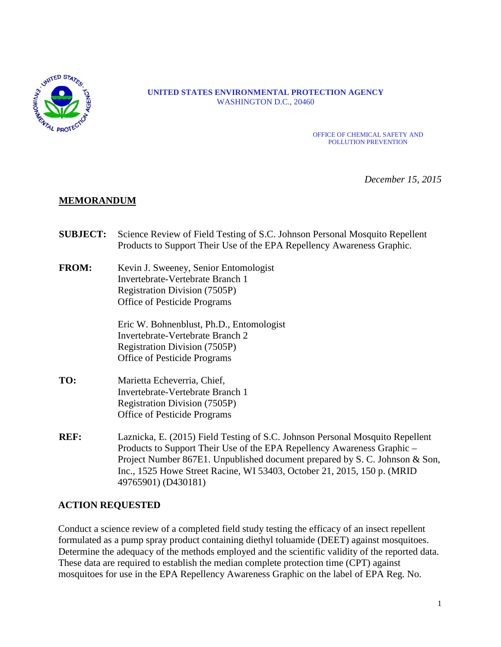

#### **UNITED STATES ENVIRONMENTAL PROTECTION AGENCY** WASHINGTON D.C., 20460

OFFICE OF CHEMICAL SAFETY AND POLLUTION PREVENTION

*December 15, 2015*

## **MEMORANDUM**

- **SUBJECT:** Science Review of Field Testing of S.C. Johnson Personal Mosquito Repellent Products to Support Their Use of the EPA Repellency Awareness Graphic.
- **FROM:** Kevin J. Sweeney, Senior Entomologist Invertebrate-Vertebrate Branch 1 Registration Division (7505P) Office of Pesticide Programs

Eric W. Bohnenblust, Ph.D., Entomologist Invertebrate-Vertebrate Branch 2 Registration Division (7505P) Office of Pesticide Programs

- **TO:** Marietta Echeverria, Chief, Invertebrate-Vertebrate Branch 1 Registration Division (7505P) Office of Pesticide Programs
- **REF:** Laznicka, E. (2015) Field Testing of S.C. Johnson Personal Mosquito Repellent Products to Support Their Use of the EPA Repellency Awareness Graphic – Project Number 867E1. Unpublished document prepared by S. C. Johnson & Son, Inc., 1525 Howe Street Racine, WI 53403, October 21, 2015, 150 p. (MRID 49765901) (D430181)

#### **ACTION REQUESTED**

Conduct a science review of a completed field study testing the efficacy of an insect repellent formulated as a pump spray product containing diethyl toluamide (DEET) against mosquitoes. Determine the adequacy of the methods employed and the scientific validity of the reported data. These data are required to establish the median complete protection time (CPT) against mosquitoes for use in the EPA Repellency Awareness Graphic on the label of EPA Reg. No.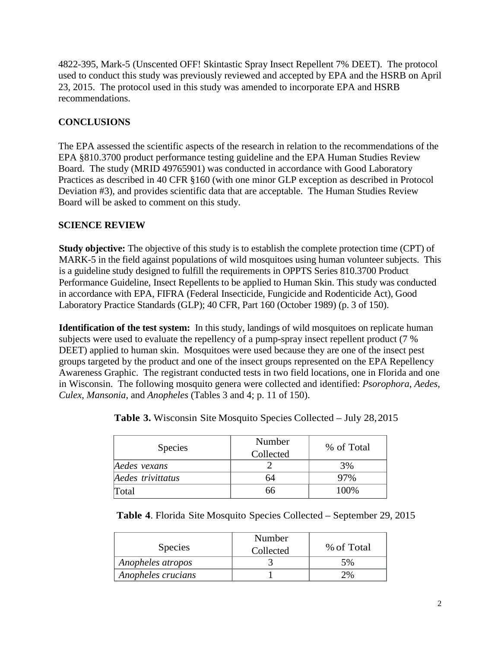4822-395, Mark-5 (Unscented OFF! Skintastic Spray Insect Repellent 7% DEET). The protocol used to conduct this study was previously reviewed and accepted by EPA and the HSRB on April 23, 2015. The protocol used in this study was amended to incorporate EPA and HSRB recommendations.

# **CONCLUSIONS**

The EPA assessed the scientific aspects of the research in relation to the recommendations of the EPA §810.3700 product performance testing guideline and the EPA Human Studies Review Board. The study (MRID 49765901) was conducted in accordance with Good Laboratory Practices as described in 40 CFR §160 (with one minor GLP exception as described in Protocol Deviation #3), and provides scientific data that are acceptable. The Human Studies Review Board will be asked to comment on this study.

# **SCIENCE REVIEW**

**Study objective:** The objective of this study is to establish the complete protection time (CPT) of MARK-5 in the field against populations of wild mosquitoes using human volunteer subjects. This is a guideline study designed to fulfill the requirements in OPPTS Series 810.3700 Product Performance Guideline, Insect Repellents to be applied to Human Skin. This study was conducted in accordance with EPA, FIFRA (Federal Insecticide, Fungicide and Rodenticide Act), Good Laboratory Practice Standards (GLP); 40 CFR, Part 160 (October 1989) (p. 3 of 150).

**Identification of the test system:** In this study, landings of wild mosquitoes on replicate human subjects were used to evaluate the repellency of a pump-spray insect repellent product (7 % DEET) applied to human skin. Mosquitoes were used because they are one of the insect pest groups targeted by the product and one of the insect groups represented on the EPA Repellency Awareness Graphic. The registrant conducted tests in two field locations, one in Florida and one in Wisconsin. The following mosquito genera were collected and identified: *Psorophora*, *Aedes*, *Culex*, *Mansonia*, and *Anopheles* (Tables 3 and 4; p. 11 of 150).

| <b>Species</b>    | Number<br>Collected | % of Total |
|-------------------|---------------------|------------|
| Aedes vexans      |                     | 3%         |
| Aedes trivittatus | 64                  | 97%        |
| Total             | 66                  | 100\%      |

**Table 3.** Wisconsin Site Mosquito Species Collected – July 28,2015

**Table 4**. Florida Site Mosquito Species Collected – September 29, 2015

| <b>Species</b>     | Number<br>Collected | % of Total |
|--------------------|---------------------|------------|
| Anopheles atropos  |                     | 5%         |
| Anopheles crucians |                     | 2%         |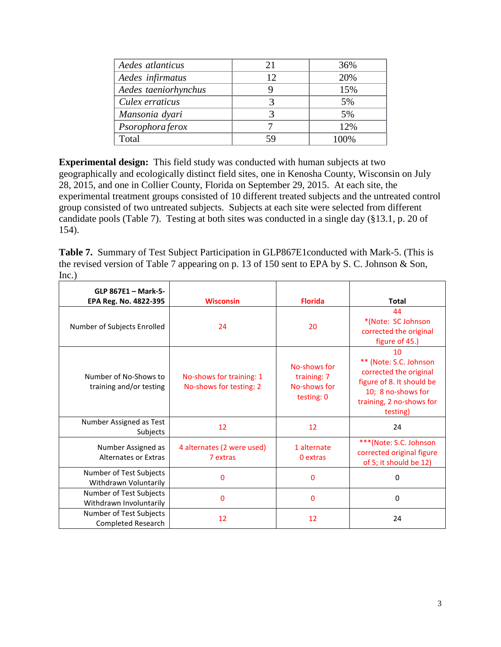| Aedes atlanticus     | 21 | 36%     |
|----------------------|----|---------|
| Aedes infirmatus     | 12 | 20%     |
| Aedes taeniorhynchus |    | 15%     |
| Culex erraticus      |    | 5%      |
| Mansonia dyari       |    | 5%      |
| Psorophora ferox     |    | 12%     |
| Total                | 59 | $.00\%$ |

**Experimental design:** This field study was conducted with human subjects at two geographically and ecologically distinct field sites, one in Kenosha County, Wisconsin on July 28, 2015, and one in Collier County, Florida on September 29, 2015. At each site, the experimental treatment groups consisted of 10 different treated subjects and the untreated control group consisted of two untreated subjects. Subjects at each site were selected from different candidate pools (Table 7). Testing at both sites was conducted in a single day (§13.1, p. 20 of 154).

**Table 7.** Summary of Test Subject Participation in GLP867E1conducted with Mark-5. (This is the revised version of Table 7 appearing on p. 13 of 150 sent to EPA by S. C. Johnson & Son, Inc.)

| GLP 867E1 - Mark-5-<br>EPA Reg. No. 4822-395       | <b>Wisconsin</b>                                    | <b>Florida</b>                                            | <b>Total</b>                                                                                                                                      |
|----------------------------------------------------|-----------------------------------------------------|-----------------------------------------------------------|---------------------------------------------------------------------------------------------------------------------------------------------------|
| Number of Subjects Enrolled                        | 24                                                  | 20                                                        | 44<br>*(Note: SC Johnson<br>corrected the original<br>figure of 45.)                                                                              |
| Number of No-Shows to<br>training and/or testing   | No-shows for training: 1<br>No-shows for testing: 2 | No-shows for<br>training: 7<br>No-shows for<br>testing: 0 | 10<br>** (Note: S.C. Johnson<br>corrected the original<br>figure of 8. It should be<br>10; 8 no-shows for<br>training, 2 no-shows for<br>testing) |
| Number Assigned as Test<br>Subjects                | 12                                                  | 12                                                        | 24                                                                                                                                                |
| Number Assigned as<br>Alternates or Extras         | 4 alternates (2 were used)<br>7 extras              | 1 alternate<br>0 extras                                   | ***(Note: S.C. Johnson<br>corrected original figure<br>of 5; it should be 12)                                                                     |
| Number of Test Subjects<br>Withdrawn Voluntarily   | 0                                                   | 0                                                         | $\Omega$                                                                                                                                          |
| Number of Test Subjects<br>Withdrawn Involuntarily | $\Omega$                                            | 0                                                         | $\Omega$                                                                                                                                          |
| Number of Test Subjects<br>Completed Research      | 12                                                  | 12                                                        | 24                                                                                                                                                |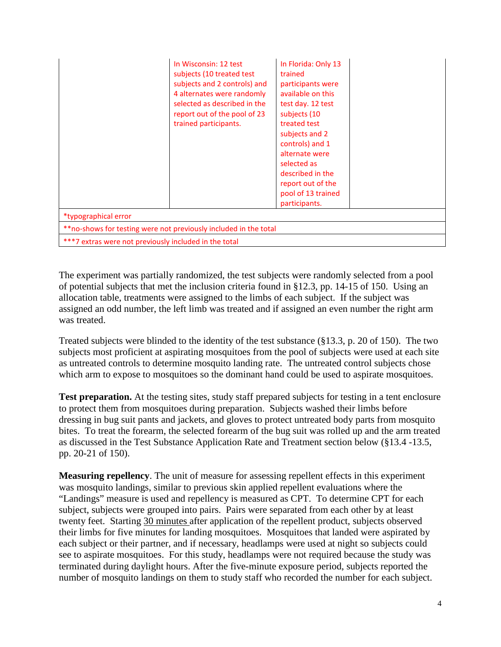|                                                                   | In Wisconsin: 12 test<br>subjects (10 treated test)<br>subjects and 2 controls) and<br>4 alternates were randomly<br>selected as described in the<br>report out of the pool of 23<br>trained participants. | In Florida: Only 13<br>trained<br>participants were<br>available on this<br>test day. 12 test<br>subjects (10<br>treated test<br>subjects and 2<br>controls) and 1<br>alternate were<br>selected as<br>described in the<br>report out of the<br>pool of 13 trained<br>participants. |  |
|-------------------------------------------------------------------|------------------------------------------------------------------------------------------------------------------------------------------------------------------------------------------------------------|-------------------------------------------------------------------------------------------------------------------------------------------------------------------------------------------------------------------------------------------------------------------------------------|--|
| *typographical error                                              |                                                                                                                                                                                                            |                                                                                                                                                                                                                                                                                     |  |
| ** no-shows for testing were not previously included in the total |                                                                                                                                                                                                            |                                                                                                                                                                                                                                                                                     |  |
| ***7 extras were not previously included in the total             |                                                                                                                                                                                                            |                                                                                                                                                                                                                                                                                     |  |

The experiment was partially randomized, the test subjects were randomly selected from a pool of potential subjects that met the inclusion criteria found in §12.3, pp. 14-15 of 150. Using an allocation table, treatments were assigned to the limbs of each subject. If the subject was assigned an odd number, the left limb was treated and if assigned an even number the right arm was treated.

Treated subjects were blinded to the identity of the test substance (§13.3, p. 20 of 150). The two subjects most proficient at aspirating mosquitoes from the pool of subjects were used at each site as untreated controls to determine mosquito landing rate. The untreated control subjects chose which arm to expose to mosquitoes so the dominant hand could be used to aspirate mosquitoes.

**Test preparation.** At the testing sites, study staff prepared subjects for testing in a tent enclosure to protect them from mosquitoes during preparation. Subjects washed their limbs before dressing in bug suit pants and jackets, and gloves to protect untreated body parts from mosquito bites. To treat the forearm, the selected forearm of the bug suit was rolled up and the arm treated as discussed in the Test Substance Application Rate and Treatment section below (§13.4 -13.5, pp. 20-21 of 150).

**Measuring repellency**. The unit of measure for assessing repellent effects in this experiment was mosquito landings, similar to previous skin applied repellent evaluations where the "Landings" measure is used and repellency is measured as CPT. To determine CPT for each subject, subjects were grouped into pairs. Pairs were separated from each other by at least twenty feet. Starting 30 minutes after application of the repellent product, subjects observed their limbs for five minutes for landing mosquitoes. Mosquitoes that landed were aspirated by each subject or their partner, and if necessary, headlamps were used at night so subjects could see to aspirate mosquitoes. For this study, headlamps were not required because the study was terminated during daylight hours. After the five-minute exposure period, subjects reported the number of mosquito landings on them to study staff who recorded the number for each subject.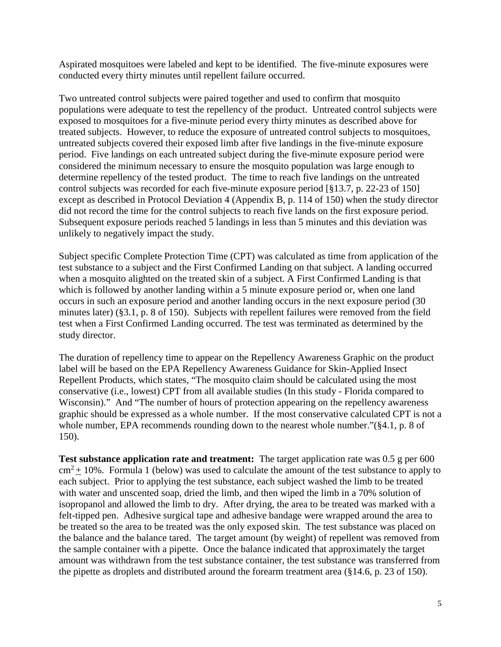Aspirated mosquitoes were labeled and kept to be identified. The five-minute exposures were conducted every thirty minutes until repellent failure occurred.

Two untreated control subjects were paired together and used to confirm that mosquito populations were adequate to test the repellency of the product. Untreated control subjects were exposed to mosquitoes for a five-minute period every thirty minutes as described above for treated subjects. However, to reduce the exposure of untreated control subjects to mosquitoes, untreated subjects covered their exposed limb after five landings in the five-minute exposure period. Five landings on each untreated subject during the five-minute exposure period were considered the minimum necessary to ensure the mosquito population was large enough to determine repellency of the tested product. The time to reach five landings on the untreated control subjects was recorded for each five-minute exposure period [§13.7, p. 22-23 of 150] except as described in Protocol Deviation 4 (Appendix B, p. 114 of 150) when the study director did not record the time for the control subjects to reach five lands on the first exposure period. Subsequent exposure periods reached 5 landings in less than 5 minutes and this deviation was unlikely to negatively impact the study.

Subject specific Complete Protection Time (CPT) was calculated as time from application of the test substance to a subject and the First Confirmed Landing on that subject. A landing occurred when a mosquito alighted on the treated skin of a subject. A First Confirmed Landing is that which is followed by another landing within a 5 minute exposure period or, when one land occurs in such an exposure period and another landing occurs in the next exposure period (30 minutes later) (§3.1, p. 8 of 150). Subjects with repellent failures were removed from the field test when a First Confirmed Landing occurred. The test was terminated as determined by the study director.

The duration of repellency time to appear on the Repellency Awareness Graphic on the product label will be based on the EPA Repellency Awareness Guidance for Skin-Applied Insect Repellent Products, which states, "The mosquito claim should be calculated using the most conservative (i.e., lowest) CPT from all available studies (In this study - Florida compared to Wisconsin)." And "The number of hours of protection appearing on the repellency awareness graphic should be expressed as a whole number. If the most conservative calculated CPT is not a whole number, EPA recommends rounding down to the nearest whole number."(§4.1, p. 8 of 150).

**Test substance application rate and treatment:** The target application rate was 0.5 g per 600  $\text{cm}^2 \pm 10$ %. Formula 1 (below) was used to calculate the amount of the test substance to apply to each subject. Prior to applying the test substance, each subject washed the limb to be treated with water and unscented soap, dried the limb, and then wiped the limb in a 70% solution of isopropanol and allowed the limb to dry. After drying, the area to be treated was marked with a felt-tipped pen. Adhesive surgical tape and adhesive bandage were wrapped around the area to be treated so the area to be treated was the only exposed skin. The test substance was placed on the balance and the balance tared. The target amount (by weight) of repellent was removed from the sample container with a pipette. Once the balance indicated that approximately the target amount was withdrawn from the test substance container, the test substance was transferred from the pipette as droplets and distributed around the forearm treatment area (§14.6, p. 23 of 150).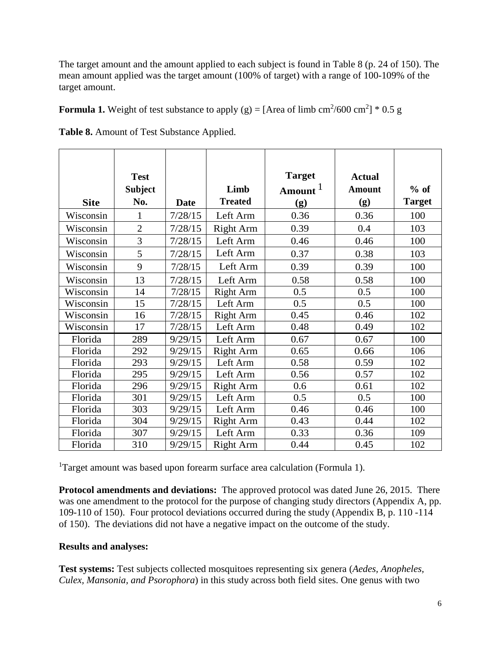The target amount and the amount applied to each subject is found in Table 8 (p. 24 of 150). The mean amount applied was the target amount (100% of target) with a range of 100-109% of the target amount.

**Formula 1.** Weight of test substance to apply  $(g) = [Area of limb cm<sup>2</sup>/600 cm<sup>2</sup>] * 0.5 g$ 

|             | <b>Test</b>    |             |                  | <b>Target</b>       | <b>Actual</b> |               |
|-------------|----------------|-------------|------------------|---------------------|---------------|---------------|
|             | <b>Subject</b> |             | Limb             | Amount <sup>1</sup> | <b>Amount</b> | $%$ of        |
| <b>Site</b> | No.            | <b>Date</b> | <b>Treated</b>   | (g)                 | (g)           | <b>Target</b> |
| Wisconsin   | 1              | 7/28/15     | Left Arm         | 0.36                | 0.36          | 100           |
| Wisconsin   | $\overline{2}$ | 7/28/15     | <b>Right Arm</b> | 0.39                | 0.4           | 103           |
| Wisconsin   | 3              | 7/28/15     | Left Arm         | 0.46                | 0.46          | 100           |
| Wisconsin   | 5              | 7/28/15     | Left Arm         | 0.37                | 0.38          | 103           |
| Wisconsin   | 9              | 7/28/15     | Left Arm         | 0.39                | 0.39          | 100           |
| Wisconsin   | 13             | 7/28/15     | Left Arm         | 0.58                | 0.58          | 100           |
| Wisconsin   | 14             | 7/28/15     | <b>Right Arm</b> | 0.5                 | 0.5           | 100           |
| Wisconsin   | 15             | 7/28/15     | Left Arm         | 0.5                 | 0.5           | 100           |
| Wisconsin   | 16             | 7/28/15     | <b>Right Arm</b> | 0.45                | 0.46          | 102           |
| Wisconsin   | 17             | 7/28/15     | Left Arm         | 0.48                | 0.49          | 102           |
| Florida     | 289            | 9/29/15     | Left Arm         | 0.67                | 0.67          | 100           |
| Florida     | 292            | 9/29/15     | <b>Right Arm</b> | 0.65                | 0.66          | 106           |
| Florida     | 293            | 9/29/15     | Left Arm         | 0.58                | 0.59          | 102           |
| Florida     | 295            | 9/29/15     | Left Arm         | 0.56                | 0.57          | 102           |
| Florida     | 296            | 9/29/15     | <b>Right Arm</b> | 0.6                 | 0.61          | 102           |
| Florida     | 301            | 9/29/15     | Left Arm         | 0.5                 | 0.5           | 100           |
| Florida     | 303            | 9/29/15     | Left Arm         | 0.46                | 0.46          | 100           |
| Florida     | 304            | 9/29/15     | <b>Right Arm</b> | 0.43                | 0.44          | 102           |
| Florida     | 307            | 9/29/15     | Left Arm         | 0.33                | 0.36          | 109           |
| Florida     | 310            | 9/29/15     | <b>Right Arm</b> | 0.44                | 0.45          | 102           |

**Table 8.** Amount of Test Substance Applied.

<sup>1</sup>Target amount was based upon forearm surface area calculation (Formula 1).

**Protocol amendments and deviations:** The approved protocol was dated June 26, 2015. There was one amendment to the protocol for the purpose of changing study directors (Appendix A, pp. 109-110 of 150). Four protocol deviations occurred during the study (Appendix B, p. 110 -114 of 150). The deviations did not have a negative impact on the outcome of the study.

## **Results and analyses:**

**Test systems:** Test subjects collected mosquitoes representing six genera (*Aedes, Anopheles, Culex, Mansonia, and Psorophora*) in this study across both field sites. One genus with two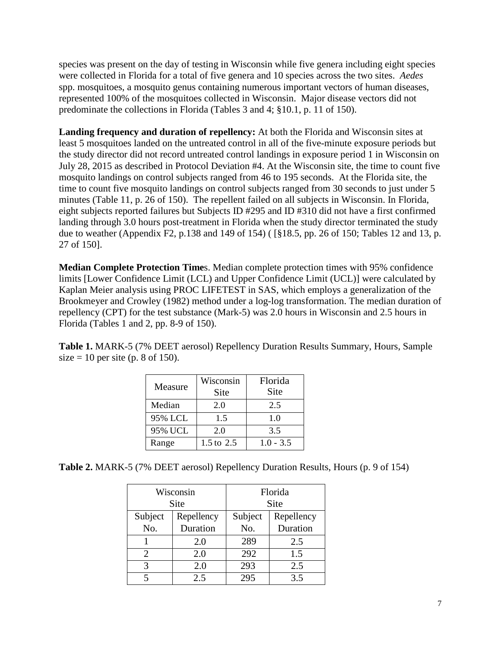species was present on the day of testing in Wisconsin while five genera including eight species were collected in Florida for a total of five genera and 10 species across the two sites. *Aedes* spp. mosquitoes, a mosquito genus containing numerous important vectors of human diseases, represented 100% of the mosquitoes collected in Wisconsin. Major disease vectors did not predominate the collections in Florida (Tables 3 and 4; §10.1, p. 11 of 150).

**Landing frequency and duration of repellency:** At both the Florida and Wisconsin sites at least 5 mosquitoes landed on the untreated control in all of the five-minute exposure periods but the study director did not record untreated control landings in exposure period 1 in Wisconsin on July 28, 2015 as described in Protocol Deviation #4. At the Wisconsin site, the time to count five mosquito landings on control subjects ranged from 46 to 195 seconds. At the Florida site, the time to count five mosquito landings on control subjects ranged from 30 seconds to just under 5 minutes (Table 11, p. 26 of 150). The repellent failed on all subjects in Wisconsin. In Florida, eight subjects reported failures but Subjects ID #295 and ID #310 did not have a first confirmed landing through 3.0 hours post-treatment in Florida when the study director terminated the study due to weather (Appendix F2, p.138 and 149 of 154) ( [§18.5, pp. 26 of 150; Tables 12 and 13, p. 27 of 150].

**Median Complete Protection Time**s. Median complete protection times with 95% confidence limits [Lower Confidence Limit (LCL) and Upper Confidence Limit (UCL)] were calculated by Kaplan Meier analysis using PROC LIFETEST in SAS, which employs a generalization of the Brookmeyer and Crowley (1982) method under a log-log transformation. The median duration of repellency (CPT) for the test substance (Mark-5) was 2.0 hours in Wisconsin and 2.5 hours in Florida (Tables 1 and 2, pp. 8-9 of 150).

**Table 1.** MARK-5 (7% DEET aerosol) Repellency Duration Results Summary, Hours, Sample size  $= 10$  per site (p. 8 of 150).

| Measure | Wisconsin<br>Site | Florida<br>Site |
|---------|-------------------|-----------------|
| Median  | 2.0               | 2.5             |
| 95% LCL | 1.5               | 1.0             |
| 95% UCL | 2.0               | 3.5             |
| Range   | 1.5 to 2.5        | $1.0 - 3.5$     |

**Table 2.** MARK-5 (7% DEET aerosol) Repellency Duration Results, Hours (p. 9 of 154)

| Wisconsin<br><b>Site</b> |            | Florida<br><b>Site</b> |            |
|--------------------------|------------|------------------------|------------|
| Subject                  | Repellency | Subject                | Repellency |
| No.                      | Duration   | No.                    | Duration   |
|                          | 2.0        | 289                    | 2.5        |
| 2                        | 2.0        | 292                    | 1.5        |
| 3                        | 2.0        | 293                    | 2.5        |
|                          | 2.5        | 295                    | 3.5        |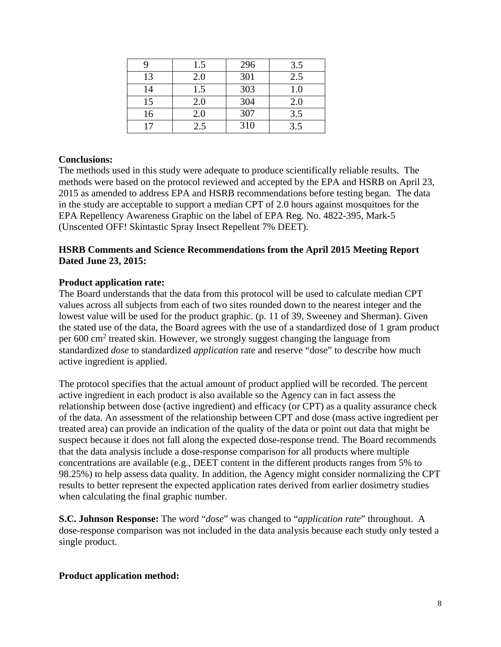|    | 1.5 | 296 | 3.5 |
|----|-----|-----|-----|
| 13 | 2.0 | 301 | 2.5 |
| 14 | 1.5 | 303 | 1.0 |
| 15 | 2.0 | 304 | 2.0 |
| 16 | 2.0 | 307 | 3.5 |
| 17 | 2.5 | 310 | 3.5 |

### **Conclusions:**

The methods used in this study were adequate to produce scientifically reliable results. The methods were based on the protocol reviewed and accepted by the EPA and HSRB on April 23, 2015 as amended to address EPA and HSRB recommendations before testing began. The data in the study are acceptable to support a median CPT of 2.0 hours against mosquitoes for the EPA Repellency Awareness Graphic on the label of EPA Reg. No. 4822-395, Mark-5 (Unscented OFF! Skintastic Spray Insect Repellent 7% DEET).

## **HSRB Comments and Science Recommendations from the April 2015 Meeting Report Dated June 23, 2015:**

#### **Product application rate:**

The Board understands that the data from this protocol will be used to calculate median CPT values across all subjects from each of two sites rounded down to the nearest integer and the lowest value will be used for the product graphic. (p. 11 of 39, Sweeney and Sherman). Given the stated use of the data, the Board agrees with the use of a standardized dose of 1 gram product per 600 cm<sup>2</sup> treated skin. However, we strongly suggest changing the language from standardized *dose* to standardized *application* rate and reserve "dose" to describe how much active ingredient is applied.

The protocol specifies that the actual amount of product applied will be recorded. The percent active ingredient in each product is also available so the Agency can in fact assess the relationship between dose (active ingredient) and efficacy (or CPT) as a quality assurance check of the data. An assessment of the relationship between CPT and dose (mass active ingredient per treated area) can provide an indication of the quality of the data or point out data that might be suspect because it does not fall along the expected dose-response trend. The Board recommends that the data analysis include a dose-response comparison for all products where multiple concentrations are available (e.g., DEET content in the different products ranges from 5% to 98.25%) to help assess data quality. In addition, the Agency might consider normalizing the CPT results to better represent the expected application rates derived from earlier dosimetry studies when calculating the final graphic number.

**S.C. Johnson Response:** The word "*dose*" was changed to "*application rate*" throughout. A dose-response comparison was not included in the data analysis because each study only tested a single product.

#### **Product application method:**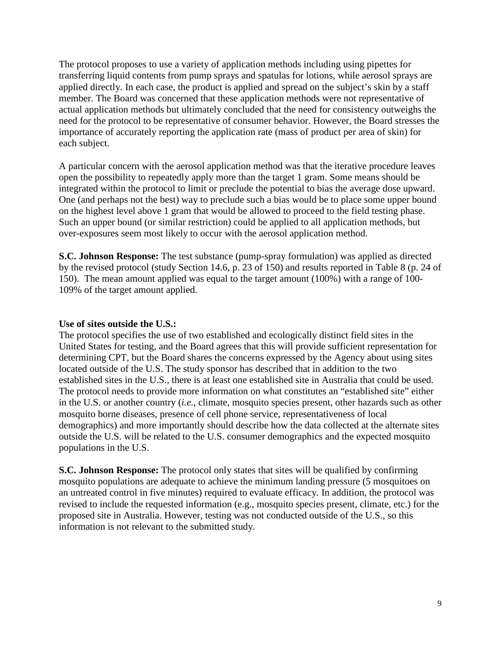The protocol proposes to use a variety of application methods including using pipettes for transferring liquid contents from pump sprays and spatulas for lotions, while aerosol sprays are applied directly. In each case, the product is applied and spread on the subject's skin by a staff member. The Board was concerned that these application methods were not representative of actual application methods but ultimately concluded that the need for consistency outweighs the need for the protocol to be representative of consumer behavior. However, the Board stresses the importance of accurately reporting the application rate (mass of product per area of skin) for each subject.

A particular concern with the aerosol application method was that the iterative procedure leaves open the possibility to repeatedly apply more than the target 1 gram. Some means should be integrated within the protocol to limit or preclude the potential to bias the average dose upward. One (and perhaps not the best) way to preclude such a bias would be to place some upper bound on the highest level above 1 gram that would be allowed to proceed to the field testing phase. Such an upper bound (or similar restriction) could be applied to all application methods, but over-exposures seem most likely to occur with the aerosol application method.

**S.C. Johnson Response:** The test substance (pump-spray formulation) was applied as directed by the revised protocol (study Section 14.6, p. 23 of 150) and results reported in Table 8 (p. 24 of 150). The mean amount applied was equal to the target amount (100%) with a range of 100- 109% of the target amount applied.

#### **Use of sites outside the U.S.:**

The protocol specifies the use of two established and ecologically distinct field sites in the United States for testing, and the Board agrees that this will provide sufficient representation for determining CPT, but the Board shares the concerns expressed by the Agency about using sites located outside of the U.S. The study sponsor has described that in addition to the two established sites in the U.S., there is at least one established site in Australia that could be used. The protocol needs to provide more information on what constitutes an "established site" either in the U.S. or another country (*i.e.*, climate, mosquito species present, other hazards such as other mosquito borne diseases, presence of cell phone service, representativeness of local demographics) and more importantly should describe how the data collected at the alternate sites outside the U.S. will be related to the U.S. consumer demographics and the expected mosquito populations in the U.S.

**S.C. Johnson Response:** The protocol only states that sites will be qualified by confirming mosquito populations are adequate to achieve the minimum landing pressure (5 mosquitoes on an untreated control in five minutes) required to evaluate efficacy. In addition, the protocol was revised to include the requested information (e.g., mosquito species present, climate, etc.) for the proposed site in Australia. However, testing was not conducted outside of the U.S., so this information is not relevant to the submitted study.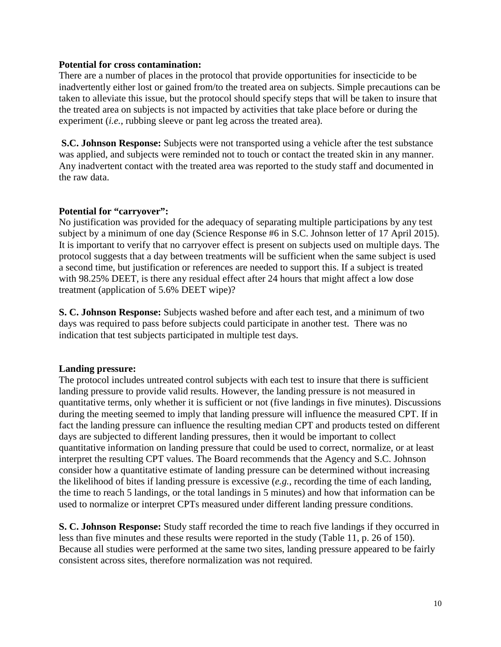#### **Potential for cross contamination:**

There are a number of places in the protocol that provide opportunities for insecticide to be inadvertently either lost or gained from/to the treated area on subjects. Simple precautions can be taken to alleviate this issue, but the protocol should specify steps that will be taken to insure that the treated area on subjects is not impacted by activities that take place before or during the experiment (*i.e.*, rubbing sleeve or pant leg across the treated area).

**S.C. Johnson Response:** Subjects were not transported using a vehicle after the test substance was applied, and subjects were reminded not to touch or contact the treated skin in any manner. Any inadvertent contact with the treated area was reported to the study staff and documented in the raw data.

### **Potential for "carryover":**

No justification was provided for the adequacy of separating multiple participations by any test subject by a minimum of one day (Science Response #6 in S.C. Johnson letter of 17 April 2015). It is important to verify that no carryover effect is present on subjects used on multiple days. The protocol suggests that a day between treatments will be sufficient when the same subject is used a second time, but justification or references are needed to support this. If a subject is treated with 98.25% DEET, is there any residual effect after 24 hours that might affect a low dose treatment (application of 5.6% DEET wipe)?

**S. C. Johnson Response:** Subjects washed before and after each test, and a minimum of two days was required to pass before subjects could participate in another test. There was no indication that test subjects participated in multiple test days.

#### **Landing pressure:**

The protocol includes untreated control subjects with each test to insure that there is sufficient landing pressure to provide valid results. However, the landing pressure is not measured in quantitative terms, only whether it is sufficient or not (five landings in five minutes). Discussions during the meeting seemed to imply that landing pressure will influence the measured CPT. If in fact the landing pressure can influence the resulting median CPT and products tested on different days are subjected to different landing pressures, then it would be important to collect quantitative information on landing pressure that could be used to correct, normalize, or at least interpret the resulting CPT values. The Board recommends that the Agency and S.C. Johnson consider how a quantitative estimate of landing pressure can be determined without increasing the likelihood of bites if landing pressure is excessive (*e.g.*, recording the time of each landing, the time to reach 5 landings, or the total landings in 5 minutes) and how that information can be used to normalize or interpret CPTs measured under different landing pressure conditions.

**S. C. Johnson Response:** Study staff recorded the time to reach five landings if they occurred in less than five minutes and these results were reported in the study (Table 11, p. 26 of 150). Because all studies were performed at the same two sites, landing pressure appeared to be fairly consistent across sites, therefore normalization was not required.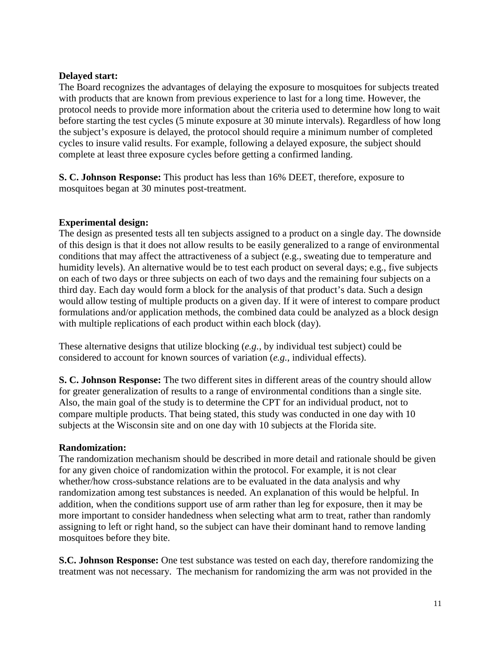### **Delayed start:**

The Board recognizes the advantages of delaying the exposure to mosquitoes for subjects treated with products that are known from previous experience to last for a long time. However, the protocol needs to provide more information about the criteria used to determine how long to wait before starting the test cycles (5 minute exposure at 30 minute intervals). Regardless of how long the subject's exposure is delayed, the protocol should require a minimum number of completed cycles to insure valid results. For example, following a delayed exposure, the subject should complete at least three exposure cycles before getting a confirmed landing.

**S. C. Johnson Response:** This product has less than 16% DEET, therefore, exposure to mosquitoes began at 30 minutes post-treatment.

## **Experimental design:**

The design as presented tests all ten subjects assigned to a product on a single day. The downside of this design is that it does not allow results to be easily generalized to a range of environmental conditions that may affect the attractiveness of a subject (e.g., sweating due to temperature and humidity levels). An alternative would be to test each product on several days; e.g., five subjects on each of two days or three subjects on each of two days and the remaining four subjects on a third day. Each day would form a block for the analysis of that product's data. Such a design would allow testing of multiple products on a given day. If it were of interest to compare product formulations and/or application methods, the combined data could be analyzed as a block design with multiple replications of each product within each block (day).

These alternative designs that utilize blocking (*e.g.*, by individual test subject) could be considered to account for known sources of variation (*e.g.*, individual effects).

**S. C. Johnson Response:** The two different sites in different areas of the country should allow for greater generalization of results to a range of environmental conditions than a single site. Also, the main goal of the study is to determine the CPT for an individual product, not to compare multiple products. That being stated, this study was conducted in one day with 10 subjects at the Wisconsin site and on one day with 10 subjects at the Florida site.

#### **Randomization:**

The randomization mechanism should be described in more detail and rationale should be given for any given choice of randomization within the protocol. For example, it is not clear whether/how cross-substance relations are to be evaluated in the data analysis and why randomization among test substances is needed. An explanation of this would be helpful. In addition, when the conditions support use of arm rather than leg for exposure, then it may be more important to consider handedness when selecting what arm to treat, rather than randomly assigning to left or right hand, so the subject can have their dominant hand to remove landing mosquitoes before they bite.

**S.C. Johnson Response:** One test substance was tested on each day, therefore randomizing the treatment was not necessary. The mechanism for randomizing the arm was not provided in the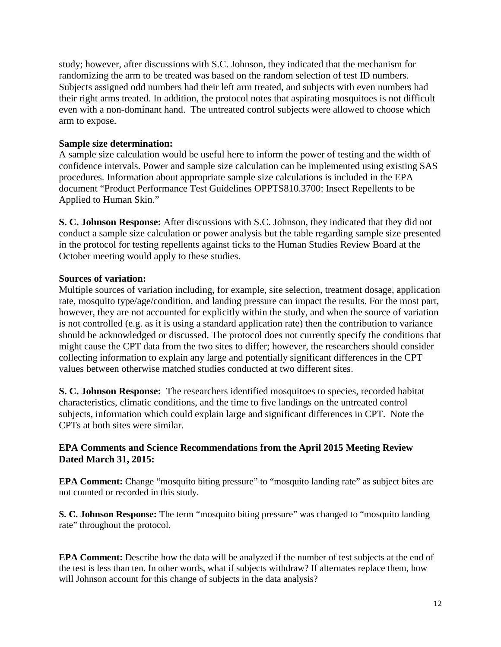study; however, after discussions with S.C. Johnson, they indicated that the mechanism for randomizing the arm to be treated was based on the random selection of test ID numbers. Subjects assigned odd numbers had their left arm treated, and subjects with even numbers had their right arms treated. In addition, the protocol notes that aspirating mosquitoes is not difficult even with a non-dominant hand. The untreated control subjects were allowed to choose which arm to expose.

## **Sample size determination:**

A sample size calculation would be useful here to inform the power of testing and the width of confidence intervals. Power and sample size calculation can be implemented using existing SAS procedures. Information about appropriate sample size calculations is included in the EPA document "Product Performance Test Guidelines OPPTS810.3700: Insect Repellents to be Applied to Human Skin."

**S. C. Johnson Response:** After discussions with S.C. Johnson, they indicated that they did not conduct a sample size calculation or power analysis but the table regarding sample size presented in the protocol for testing repellents against ticks to the Human Studies Review Board at the October meeting would apply to these studies.

### **Sources of variation:**

Multiple sources of variation including, for example, site selection, treatment dosage, application rate, mosquito type/age/condition, and landing pressure can impact the results. For the most part, however, they are not accounted for explicitly within the study, and when the source of variation is not controlled (e.g. as it is using a standard application rate) then the contribution to variance should be acknowledged or discussed. The protocol does not currently specify the conditions that might cause the CPT data from the two sites to differ; however, the researchers should consider collecting information to explain any large and potentially significant differences in the CPT values between otherwise matched studies conducted at two different sites.

**S. C. Johnson Response:** The researchers identified mosquitoes to species, recorded habitat characteristics, climatic conditions, and the time to five landings on the untreated control subjects, information which could explain large and significant differences in CPT. Note the CPTs at both sites were similar.

## **EPA Comments and Science Recommendations from the April 2015 Meeting Review Dated March 31, 2015:**

**EPA Comment:** Change "mosquito biting pressure" to "mosquito landing rate" as subject bites are not counted or recorded in this study.

**S. C. Johnson Response:** The term "mosquito biting pressure" was changed to "mosquito landing rate" throughout the protocol.

**EPA Comment:** Describe how the data will be analyzed if the number of test subjects at the end of the test is less than ten. In other words, what if subjects withdraw? If alternates replace them, how will Johnson account for this change of subjects in the data analysis?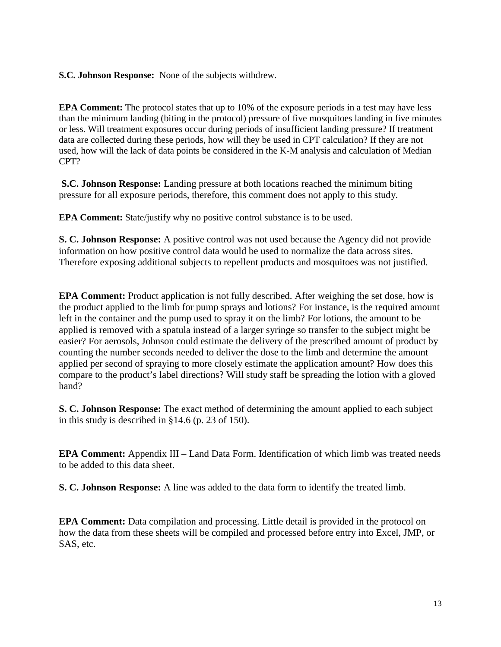**S.C. Johnson Response:** None of the subjects withdrew.

**EPA Comment:** The protocol states that up to 10% of the exposure periods in a test may have less than the minimum landing (biting in the protocol) pressure of five mosquitoes landing in five minutes or less. Will treatment exposures occur during periods of insufficient landing pressure? If treatment data are collected during these periods, how will they be used in CPT calculation? If they are not used, how will the lack of data points be considered in the K-M analysis and calculation of Median CPT?

**S.C. Johnson Response:** Landing pressure at both locations reached the minimum biting pressure for all exposure periods, therefore, this comment does not apply to this study.

**EPA Comment:** State/justify why no positive control substance is to be used.

**S. C. Johnson Response:** A positive control was not used because the Agency did not provide information on how positive control data would be used to normalize the data across sites. Therefore exposing additional subjects to repellent products and mosquitoes was not justified.

**EPA Comment:** Product application is not fully described. After weighing the set dose, how is the product applied to the limb for pump sprays and lotions? For instance, is the required amount left in the container and the pump used to spray it on the limb? For lotions, the amount to be applied is removed with a spatula instead of a larger syringe so transfer to the subject might be easier? For aerosols, Johnson could estimate the delivery of the prescribed amount of product by counting the number seconds needed to deliver the dose to the limb and determine the amount applied per second of spraying to more closely estimate the application amount? How does this compare to the product's label directions? Will study staff be spreading the lotion with a gloved hand?

**S. C. Johnson Response:** The exact method of determining the amount applied to each subject in this study is described in §14.6 (p. 23 of 150).

**EPA Comment:** Appendix III – Land Data Form. Identification of which limb was treated needs to be added to this data sheet.

**S. C. Johnson Response:** A line was added to the data form to identify the treated limb.

**EPA Comment:** Data compilation and processing. Little detail is provided in the protocol on how the data from these sheets will be compiled and processed before entry into Excel, JMP, or SAS, etc.